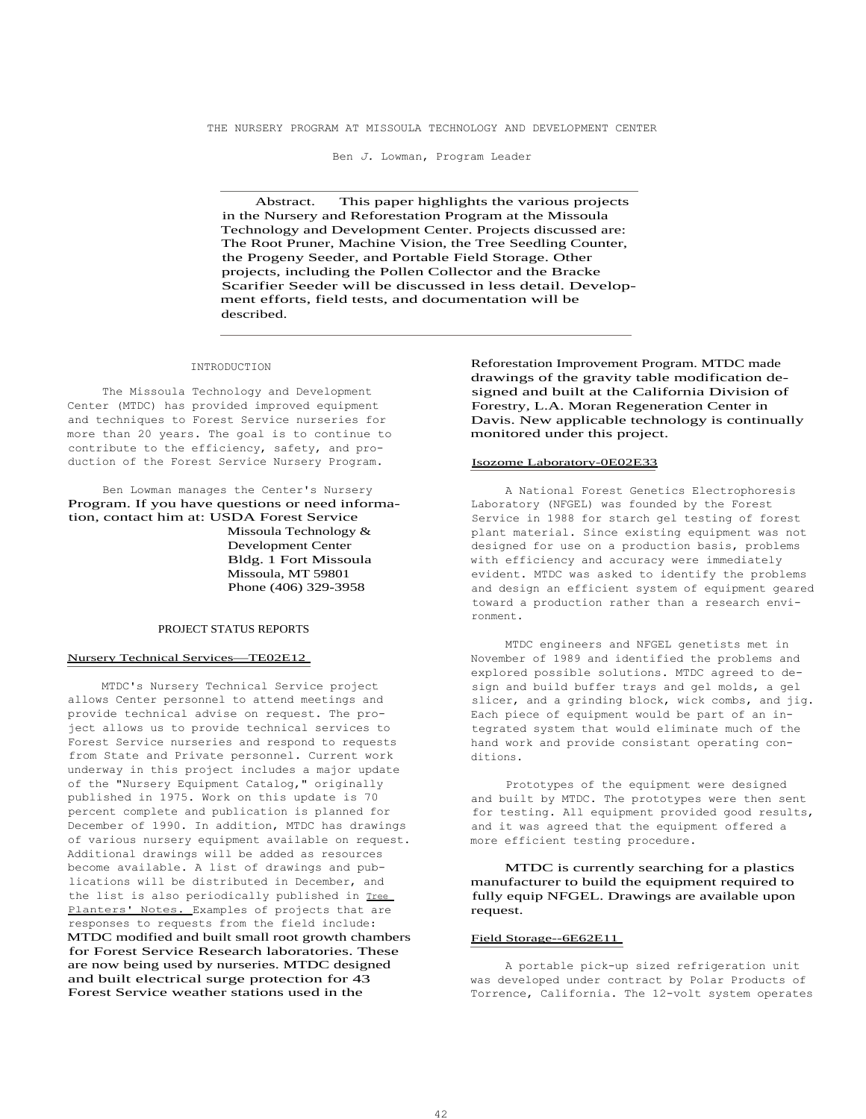THE NURSERY PROGRAM AT MISSOULA TECHNOLOGY AND DEVELOPMENT CENTER

Ben *J.* Lowman, Program Leader

Abstract. This paper highlights the various projects in the Nursery and Reforestation Program at the Missoula Technology and Development Center. Projects discussed are: The Root Pruner, Machine Vision, the Tree Seedling Counter, the Progeny Seeder, and Portable Field Storage. Other projects, including the Pollen Collector and the Bracke Scarifier Seeder will be discussed in less detail. Development efforts, field tests, and documentation will be described.

#### INTRODUCTION

The Missoula Technology and Development Center (MTDC) has provided improved equipment and techniques to Forest Service nurseries for more than 20 years. The goal is to continue to contribute to the efficiency, safety, and production of the Forest Service Nursery Program.

Ben Lowman manages the Center's Nursery Program. If you have questions or need information, contact him at: USDA Forest Service Missoula Technology & Development Center Bldg. 1 Fort Missoula Missoula, MT 59801 Phone (406) 329-3958

# PROJECT STATUS REPORTS

### Nursery Technical Services—TE02E12

MTDC's Nursery Technical Service project allows Center personnel to attend meetings and provide technical advise on request. The project allows us to provide technical services to Forest Service nurseries and respond to requests from State and Private personnel. Current work underway in this project includes a major update of the "Nursery Equipment Catalog," originally published in 1975. Work on this update is 70 percent complete and publication is planned for December of 1990. In addition, MTDC has drawings of various nursery equipment available on request. Additional drawings will be added as resources become available. A list of drawings and publications will be distributed in December, and the list is also periodically published in Tree Planters' Notes. Examples of projects that are responses to requests from the field include: MTDC modified and built small root growth chambers for Forest Service Research laboratories. These are now being used by nurseries. MTDC designed and built electrical surge protection for 43 Forest Service weather stations used in the

Reforestation Improvement Program. MTDC made drawings of the gravity table modification designed and built at the California Division of Forestry, L.A. Moran Regeneration Center in Davis. New applicable technology is continually monitored under this project.

#### Isozome Laboratory-0E02E33

A National Forest Genetics Electrophoresis Laboratory (NFGEL) was founded by the Forest Service in 1988 for starch gel testing of forest plant material. Since existing equipment was not designed for use on a production basis, problems with efficiency and accuracy were immediately evident. MTDC was asked to identify the problems and design an efficient system of equipment geared toward a production rather than a research environment.

MTDC engineers and NFGEL genetists met in November of 1989 and identified the problems and explored possible solutions. MTDC agreed to design and build buffer trays and gel molds, a gel slicer, and a grinding block, wick combs, and jig. Each piece of equipment would be part of an integrated system that would eliminate much of the hand work and provide consistant operating conditions.

Prototypes of the equipment were designed and built by MTDC. The prototypes were then sent for testing. All equipment provided good results, and it was agreed that the equipment offered a more efficient testing procedure.

MTDC is currently searching for a plastics manufacturer to build the equipment required to fully equip NFGEL. Drawings are available upon request.

### Field Storage--6E62E11

A portable pick-up sized refrigeration unit was developed under contract by Polar Products of Torrence, California. The 12-volt system operates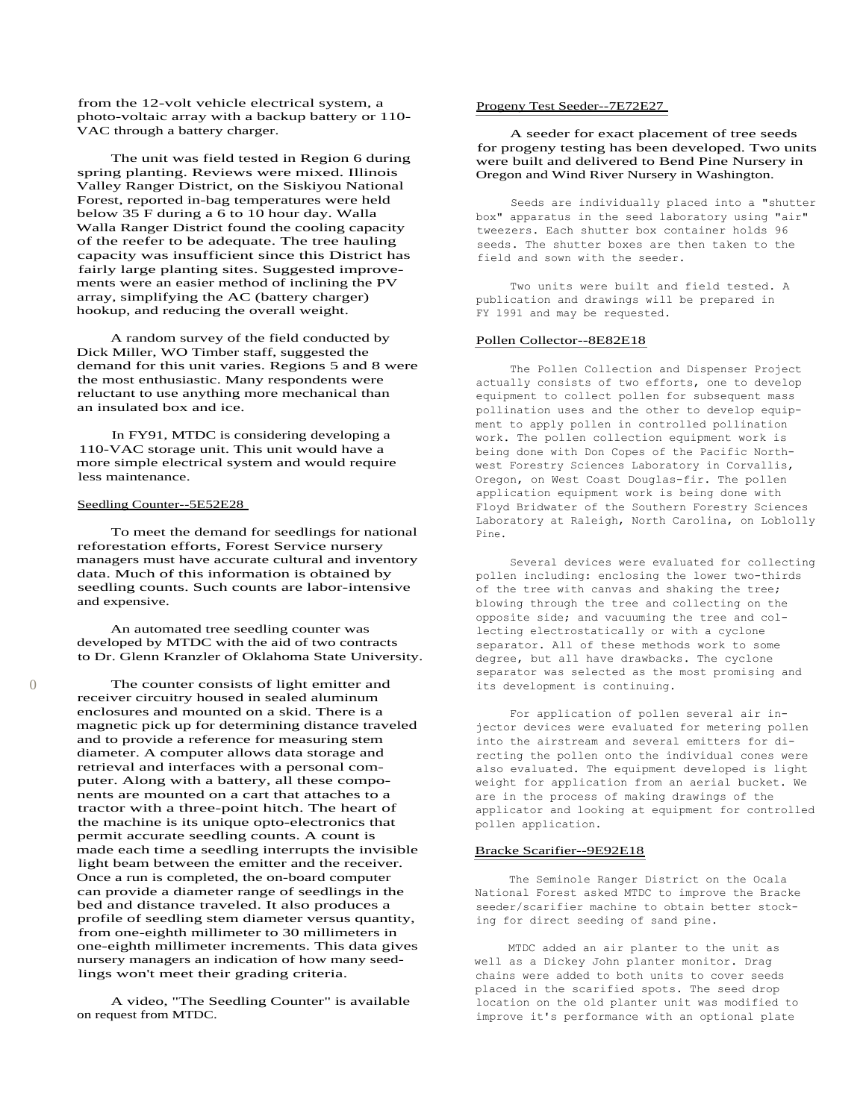from the 12-volt vehicle electrical system, a photo-voltaic array with a backup battery or 110- VAC through a battery charger.

The unit was field tested in Region 6 during spring planting. Reviews were mixed. Illinois Valley Ranger District, on the Siskiyou National Forest, reported in-bag temperatures were held below 35 F during a 6 to 10 hour day. Walla Walla Ranger District found the cooling capacity of the reefer to be adequate. The tree hauling capacity was insufficient since this District has fairly large planting sites. Suggested improvements were an easier method of inclining the PV array, simplifying the AC (battery charger) hookup, and reducing the overall weight.

A random survey of the field conducted by Dick Miller, WO Timber staff, suggested the demand for this unit varies. Regions 5 and 8 were the most enthusiastic. Many respondents were reluctant to use anything more mechanical than an insulated box and ice.

In FY91, MTDC is considering developing a 110-VAC storage unit. This unit would have a more simple electrical system and would require less maintenance.

## Seedling Counter--5E52E28

To meet the demand for seedlings for national reforestation efforts, Forest Service nursery managers must have accurate cultural and inventory data. Much of this information is obtained by seedling counts. Such counts are labor-intensive and expensive.

An automated tree seedling counter was developed by MTDC with the aid of two contracts to Dr. Glenn Kranzler of Oklahoma State University.

0 The counter consists of light emitter and receiver circuitry housed in sealed aluminum enclosures and mounted on a skid. There is a magnetic pick up for determining distance traveled and to provide a reference for measuring stem diameter. A computer allows data storage and retrieval and interfaces with a personal computer. Along with a battery, all these components are mounted on a cart that attaches to a tractor with a three-point hitch. The heart of the machine is its unique opto-electronics that permit accurate seedling counts. A count is made each time a seedling interrupts the invisible light beam between the emitter and the receiver. Once a run is completed, the on-board computer can provide a diameter range of seedlings in the bed and distance traveled. It also produces a profile of seedling stem diameter versus quantity, from one-eighth millimeter to 30 millimeters in one-eighth millimeter increments. This data gives nursery managers an indication of how many seedlings won't meet their grading criteria.

> A video, "The Seedling Counter" is available on request from MTDC.

### Progeny Test Seeder--7E72E27

A seeder for exact placement of tree seeds for progeny testing has been developed. Two units were built and delivered to Bend Pine Nursery in Oregon and Wind River Nursery in Washington.

Seeds are individually placed into a "shutter box" apparatus in the seed laboratory using "air" tweezers. Each shutter box container holds 96 seeds. The shutter boxes are then taken to the field and sown with the seeder.

Two units were built and field tested. A publication and drawings will be prepared in FY 1991 and may be requested.

# Pollen Collector--8E82E18

The Pollen Collection and Dispenser Project actually consists of two efforts, one to develop equipment to collect pollen for subsequent mass pollination uses and the other to develop equipment to apply pollen in controlled pollination work. The pollen collection equipment work is being done with Don Copes of the Pacific Northwest Forestry Sciences Laboratory in Corvallis, Oregon, on West Coast Douglas-fir. The pollen application equipment work is being done with Floyd Bridwater of the Southern Forestry Sciences Laboratory at Raleigh, North Carolina, on Loblolly Pine.

Several devices were evaluated for collecting pollen including: enclosing the lower two-thirds of the tree with canvas and shaking the tree; blowing through the tree and collecting on the opposite side; and vacuuming the tree and collecting electrostatically or with a cyclone separator. All of these methods work to some degree, but all have drawbacks. The cyclone separator was selected as the most promising and its development is continuing.

For application of pollen several air injector devices were evaluated for metering pollen into the airstream and several emitters for directing the pollen onto the individual cones were also evaluated. The equipment developed is light weight for application from an aerial bucket. We are in the process of making drawings of the applicator and looking at equipment for controlled pollen application.

### Bracke Scarifier--9E92E18

The Seminole Ranger District on the Ocala National Forest asked MTDC to improve the Bracke seeder/scarifier machine to obtain better stocking for direct seeding of sand pine.

MTDC added an air planter to the unit as well as a Dickey John planter monitor. Drag chains were added to both units to cover seeds placed in the scarified spots. The seed drop location on the old planter unit was modified to improve it's performance with an optional plate